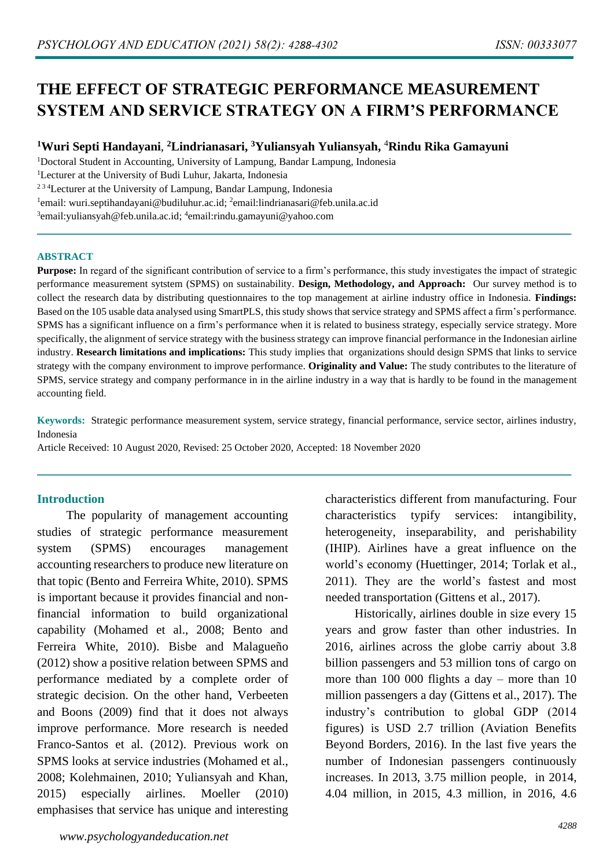# **THE EFFECT OF STRATEGIC PERFORMANCE MEASUREMENT SYSTEM AND SERVICE STRATEGY ON A FIRM'S PERFORMANCE**

#### **<sup>1</sup>Wuri Septi Handayani**, **<sup>2</sup>Lindrianasari, <sup>3</sup>Yuliansyah Yuliansyah,** <sup>4</sup>**Rindu Rika Gamayuni**

<sup>1</sup>Doctoral Student in Accounting, University of Lampung, Bandar Lampung, Indonesia

<sup>1</sup>Lecturer at the University of Budi Luhur, Jakarta, Indonesia

<sup>234</sup>Lecturer at the University of Lampung, Bandar Lampung, Indonesia

<sup>1</sup>email: [wuri.septihandayani@budiluhur.ac.id;](mailto:wuri.septihandayani@budiluhur.ac.id) <sup>2</sup>email:lindrianasari@feb.unila.ac.id

<sup>3</sup>[email:yuliansyah@feb.unila.ac.id;](mailto:3yuliansyah@feb.unila.ac.id) <sup>4</sup>email[:rindu.gamayuni@yahoo.com](mailto:rindu.gamayuni@yahoo.com)

#### **ABSTRACT**

**Purpose:** In regard of the significant contribution of service to a firm's performance, this study investigates the impact of strategic performance measurement sytstem (SPMS) on sustainability. **Design, Methodology, and Approach:** Our survey method is to collect the research data by distributing questionnaires to the top management at airline industry office in Indonesia. **Findings:** Based on the 105 usable data analysed using SmartPLS, this study showsthat service strategy and SPMS affect a firm's performance. SPMS has a significant influence on a firm's performance when it is related to business strategy, especially service strategy. More specifically, the alignment of service strategy with the business strategy can improve financial performance in the Indonesian airline industry. **Research limitations and implications:** This study implies that organizations should design SPMS that links to service strategy with the company environment to improve performance. **Originality and Value:** The study contributes to the literature of SPMS, service strategy and company performance in in the airline industry in a way that is hardly to be found in the management accounting field.

**Keywords:** Strategic performance measurement system, service strategy, financial performance, service sector, airlines industry, Indonesia

Article Received: 10 August 2020, Revised: 25 October 2020, Accepted: 18 November 2020

#### **Introduction**

The popularity of management accounting studies of strategic performance measurement system (SPMS) encourages management accounting researchers to produce new literature on that topic (Bento and Ferreira White, 2010). SPMS is important because it provides financial and nonfinancial information to build organizational capability (Mohamed et al., 2008; Bento and Ferreira White, 2010). Bisbe and Malagueño (2012) show a positive relation between SPMS and performance mediated by a complete order of strategic decision. On the other hand, Verbeeten and Boons (2009) find that it does not always improve performance. More research is needed Franco-Santos et al. (2012). Previous work on SPMS looks at service industries (Mohamed et al., 2008; Kolehmainen, 2010; Yuliansyah and Khan, 2015) especially airlines. Moeller (2010) emphasises that service has unique and interesting

characteristics different from manufacturing. Four characteristics typify services: intangibility, heterogeneity, inseparability, and perishability (IHIP). Airlines have a great influence on the world's economy (Huettinger, 2014; Torlak et al., 2011). They are the world's fastest and most needed transportation (Gittens et al., 2017).

Historically, airlines double in size every 15 years and grow faster than other industries. In 2016, airlines across the globe carriy about 3.8 billion passengers and 53 million tons of cargo on more than 100 000 flights a day – more than  $10$ million passengers a day (Gittens et al., 2017). The industry's contribution to global GDP (2014 figures) is USD 2.7 trillion (Aviation Benefits Beyond Borders, 2016). In the last five years the number of Indonesian passengers continuously increases. In 2013, 3.75 million people, in 2014, 4.04 million, in 2015, 4.3 million, in 2016, 4.6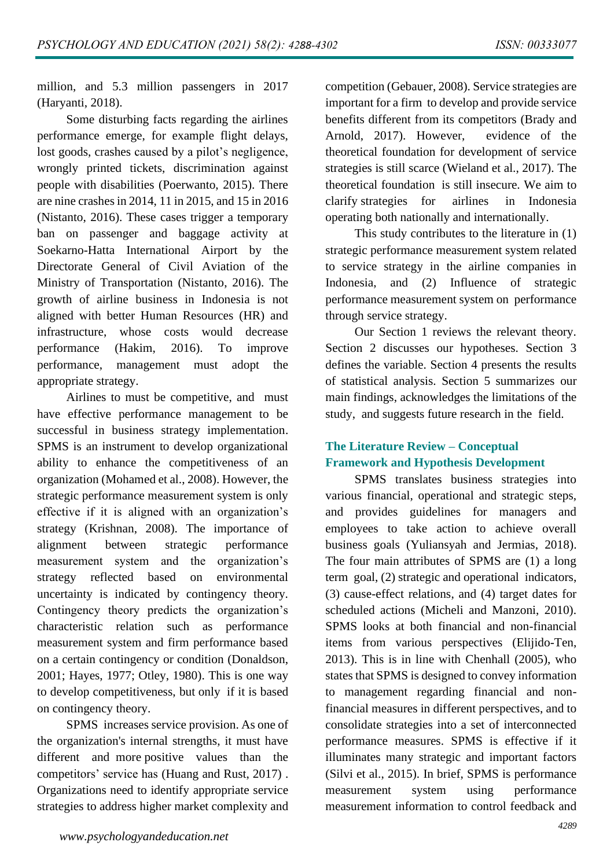million, and 5.3 million passengers in 2017 (Haryanti, 2018).

Some disturbing facts regarding the airlines performance emerge, for example flight delays, lost goods, crashes caused by a pilot's negligence, wrongly printed tickets, discrimination against people with disabilities (Poerwanto, 2015). There are nine crashes in 2014, 11 in 2015, and 15 in 2016 (Nistanto, 2016). These cases trigger a temporary ban on passenger and baggage activity at Soekarno-Hatta International Airport by the Directorate General of Civil Aviation of the Ministry of Transportation (Nistanto, 2016). The growth of airline business in Indonesia is not aligned with better Human Resources (HR) and infrastructure, whose costs would decrease performance (Hakim, 2016). To improve performance, management must adopt the appropriate strategy.

Airlines to must be competitive, and must have effective performance management to be successful in business strategy implementation. SPMS is an instrument to develop organizational ability to enhance the competitiveness of an organization (Mohamed et al., 2008). However, the strategic performance measurement system is only effective if it is aligned with an organization's strategy (Krishnan, 2008). The importance of alignment between strategic performance measurement system and the organization's strategy reflected based on environmental uncertainty is indicated by contingency theory. Contingency theory predicts the organization's characteristic relation such as performance measurement system and firm performance based on a certain contingency or condition (Donaldson, 2001; Hayes, 1977; Otley, 1980). This is one way to develop competitiveness, but only if it is based on contingency theory.

SPMS increases service provision. As one of the organization's internal strengths, it must have different and more positive values than the competitors' service has (Huang and Rust, 2017) . Organizations need to identify appropriate service strategies to address higher market complexity and

competition (Gebauer, 2008). Service strategies are important for a firm to develop and provide service benefits different from its competitors (Brady and Arnold, 2017). However, evidence of the theoretical foundation for development of service strategies is still scarce (Wieland et al., 2017). The theoretical foundation is still insecure. We aim to clarify strategies for airlines in Indonesia operating both nationally and internationally.

This study contributes to the literature in (1) strategic performance measurement system related to service strategy in the airline companies in Indonesia, and (2) Influence of strategic performance measurement system on performance through service strategy.

Our Section 1 reviews the relevant theory. Section 2 discusses our hypotheses. Section 3 defines the variable. Section 4 presents the results of statistical analysis. Section 5 summarizes our main findings, acknowledges the limitations of the study, and suggests future research in the field.

## **The Literature Review – Conceptual Framework and Hypothesis Development**

SPMS translates business strategies into various financial, operational and strategic steps, and provides guidelines for managers and employees to take action to achieve overall business goals (Yuliansyah and Jermias, 2018). The four main attributes of SPMS are (1) a long term goal, (2) strategic and operational indicators, (3) cause-effect relations, and (4) target dates for scheduled actions (Micheli and Manzoni, 2010). SPMS looks at both financial and non-financial items from various perspectives (Elijido-Ten, 2013). This is in line with Chenhall (2005), who states that SPMS is designed to convey information to management regarding financial and nonfinancial measures in different perspectives, and to consolidate strategies into a set of interconnected performance measures. SPMS is effective if it illuminates many strategic and important factors (Silvi et al., 2015). In brief, SPMS is performance measurement system using performance measurement information to control feedback and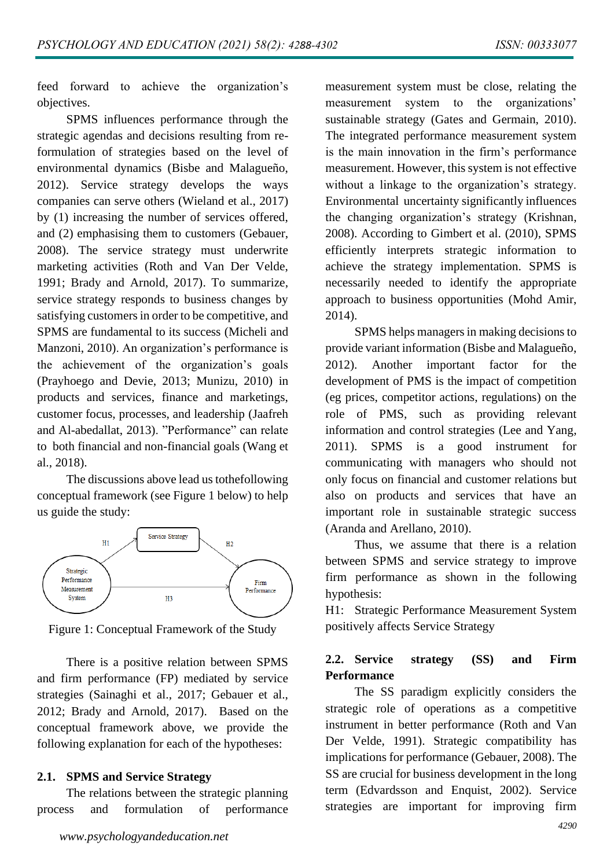feed forward to achieve the organization's objectives.

SPMS influences performance through the strategic agendas and decisions resulting from reformulation of strategies based on the level of environmental dynamics (Bisbe and Malagueño, 2012). Service strategy develops the ways companies can serve others (Wieland et al., 2017) by (1) increasing the number of services offered, and (2) emphasising them to customers (Gebauer, 2008). The service strategy must underwrite marketing activities (Roth and Van Der Velde, 1991; Brady and Arnold, 2017). To summarize, service strategy responds to business changes by satisfying customers in order to be competitive, and SPMS are fundamental to its success (Micheli and Manzoni, 2010). An organization's performance is the achievement of the organization's goals (Prayhoego and Devie, 2013; Munizu, 2010) in products and services, finance and marketings, customer focus, processes, and leadership (Jaafreh and Al-abedallat, 2013). "Performance" can relate to both financial and non-financial goals (Wang et al., 2018).

The discussions above lead us tothefollowing conceptual framework (see Figure 1 below) to help us guide the study:



Figure 1: Conceptual Framework of the Study

There is a positive relation between SPMS and firm performance (FP) mediated by service strategies (Sainaghi et al., 2017; Gebauer et al., 2012; Brady and Arnold, 2017). Based on the conceptual framework above, we provide the following explanation for each of the hypotheses:

#### **2.1. SPMS and Service Strategy**

The relations between the strategic planning process and formulation of performance

*www.psychologyandeducation.net*

measurement system must be close, relating the measurement system to the organizations' sustainable strategy (Gates and Germain, 2010). The integrated performance measurement system is the main innovation in the firm's performance measurement. However, this system is not effective without a linkage to the organization's strategy. Environmental uncertainty significantly influences the changing organization's strategy (Krishnan, 2008). According to Gimbert et al. (2010), SPMS efficiently interprets strategic information to achieve the strategy implementation. SPMS is necessarily needed to identify the appropriate approach to business opportunities (Mohd Amir, 2014).

SPMS helps managers in making decisions to provide variant information (Bisbe and Malagueño, 2012). Another important factor for the development of PMS is the impact of competition (eg prices, competitor actions, regulations) on the role of PMS, such as providing relevant information and control strategies (Lee and Yang, 2011). SPMS is a good instrument for communicating with managers who should not only focus on financial and customer relations but also on products and services that have an important role in sustainable strategic success (Aranda and Arellano, 2010).

Thus, we assume that there is a relation between SPMS and service strategy to improve firm performance as shown in the following hypothesis:

H1: Strategic Performance Measurement System positively affects Service Strategy

### **2.2. Service strategy (SS) and Firm Performance**

The SS paradigm explicitly considers the strategic role of operations as a competitive instrument in better performance (Roth and Van Der Velde, 1991). Strategic compatibility has implications for performance (Gebauer, 2008). The SS are crucial for business development in the long term (Edvardsson and Enquist, 2002). Service strategies are important for improving firm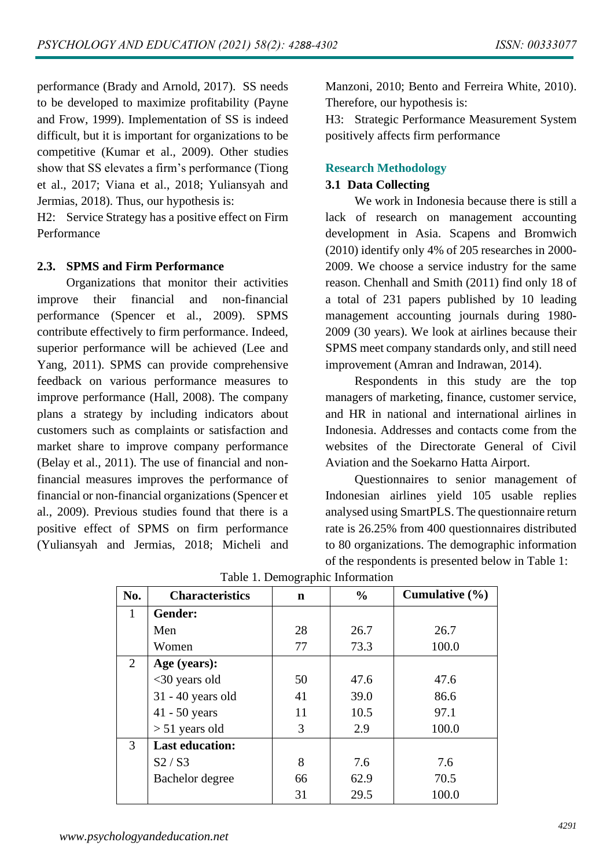performance (Brady and Arnold, 2017). SS needs to be developed to maximize profitability (Payne and Frow, 1999). Implementation of SS is indeed difficult, but it is important for organizations to be competitive (Kumar et al., 2009). Other studies show that SS elevates a firm's performance (Tiong et al., 2017; Viana et al., 2018; Yuliansyah and Jermias, 2018). Thus, our hypothesis is:

H2: Service Strategy has a positive effect on Firm Performance

### **2.3. SPMS and Firm Performance**

Organizations that monitor their activities improve their financial and non-financial performance (Spencer et al., 2009). SPMS contribute effectively to firm performance. Indeed, superior performance will be achieved (Lee and Yang, 2011). SPMS can provide comprehensive feedback on various performance measures to improve performance (Hall, 2008). The company plans a strategy by including indicators about customers such as complaints or satisfaction and market share to improve company performance (Belay et al., 2011). The use of financial and nonfinancial measures improves the performance of financial or non-financial organizations (Spencer et al., 2009). Previous studies found that there is a positive effect of SPMS on firm performance (Yuliansyah and Jermias, 2018; Micheli and Manzoni, 2010; Bento and Ferreira White, 2010). Therefore, our hypothesis is:

H3: Strategic Performance Measurement System positively affects firm performance

#### **Research Methodology**

### **3.1 Data Collecting**

We work in Indonesia because there is still a lack of research on management accounting development in Asia. Scapens and Bromwich (2010) identify only 4% of 205 researches in 2000- 2009. We choose a service industry for the same reason. Chenhall and Smith (2011) find only 18 of a total of 231 papers published by 10 leading management accounting journals during 1980- 2009 (30 years). We look at airlines because their SPMS meet company standards only, and still need improvement (Amran and Indrawan, 2014).

Respondents in this study are the top managers of marketing, finance, customer service, and HR in national and international airlines in Indonesia. Addresses and contacts come from the websites of the Directorate General of Civil Aviation and the Soekarno Hatta Airport.

Questionnaires to senior management of Indonesian airlines yield 105 usable replies analysed using SmartPLS. The questionnaire return rate is 26.25% from 400 questionnaires distributed to 80 organizations. The demographic information of the respondents is presented below in Table 1:

| No. | <b>Characteristics</b> | $\mathbf n$ | $\frac{0}{0}$ | Cumulative $(\% )$ |
|-----|------------------------|-------------|---------------|--------------------|
| 1   | Gender:                |             |               |                    |
|     | Men                    | 28          | 26.7          | 26.7               |
|     | Women                  | 77          | 73.3          | 100.0              |
| 2   | Age (years):           |             |               |                    |
|     | <30 years old          | 50          | 47.6          | 47.6               |
|     | $31 - 40$ years old    | 41          | 39.0          | 86.6               |
|     | 41 - 50 years          | 11          | 10.5          | 97.1               |
|     | $> 51$ years old       | 3           | 2.9           | 100.0              |
| 3   | <b>Last education:</b> |             |               |                    |
|     | S2/S3                  | 8           | 7.6           | 7.6                |
|     | Bachelor degree        | 66          | 62.9          | 70.5               |
|     |                        | 31          | 29.5          | 100.0              |

| Table 1. Demographic Information |  |
|----------------------------------|--|
|----------------------------------|--|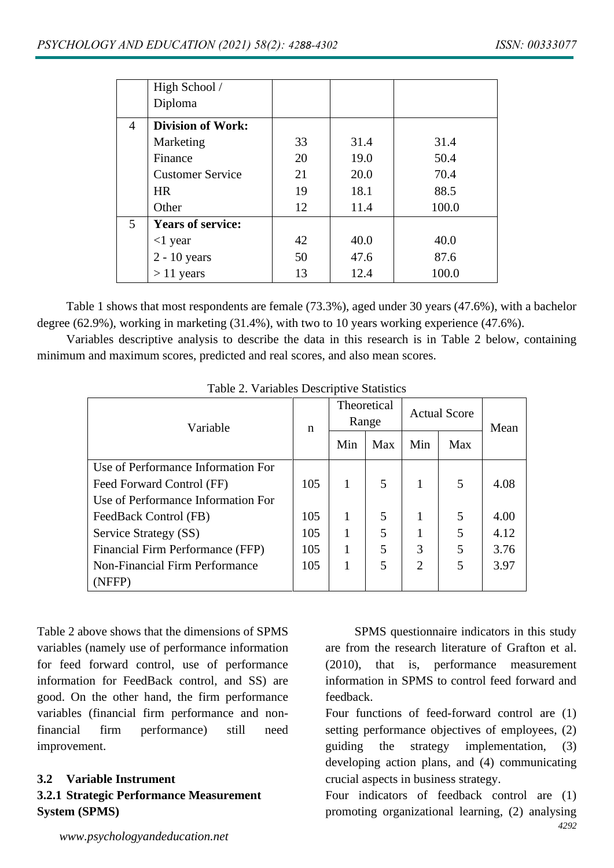|             | High School /            |    |      |       |
|-------------|--------------------------|----|------|-------|
|             | Diploma                  |    |      |       |
| 4           | <b>Division of Work:</b> |    |      |       |
|             | Marketing                | 33 | 31.4 | 31.4  |
|             | Finance                  | 20 | 19.0 | 50.4  |
|             | <b>Customer Service</b>  | 21 | 20.0 | 70.4  |
|             | <b>HR</b>                | 19 | 18.1 | 88.5  |
|             | Other                    | 12 | 11.4 | 100.0 |
| $5^{\circ}$ | <b>Years of service:</b> |    |      |       |
|             | $<$ 1 year               | 42 | 40.0 | 40.0  |
|             | $2 - 10$ years           | 50 | 47.6 | 87.6  |
|             | $> 11$ years             | 13 | 12.4 | 100.0 |

Table 1 shows that most respondents are female (73.3%), aged under 30 years (47.6%), with a bachelor degree (62.9%), working in marketing (31.4%), with two to 10 years working experience (47.6%).

Variables descriptive analysis to describe the data in this research is in Table 2 below, containing minimum and maximum scores, predicted and real scores, and also mean scores.

| raone 2. $\alpha$ and $\alpha$ beson pure balances |     |                      |     |                     |     |      |  |  |
|----------------------------------------------------|-----|----------------------|-----|---------------------|-----|------|--|--|
| Variable                                           |     | Theoretical<br>Range |     | <b>Actual Score</b> |     | Mean |  |  |
|                                                    |     | Min                  | Max | Min                 | Max |      |  |  |
| Use of Performance Information For                 |     |                      |     |                     |     |      |  |  |
| Feed Forward Control (FF)                          | 105 | 1                    | 5   |                     | 5   | 4.08 |  |  |
| Use of Performance Information For                 |     |                      |     |                     |     |      |  |  |
| FeedBack Control (FB)                              | 105 | 1                    | 5   |                     | 5   | 4.00 |  |  |
| Service Strategy (SS)                              | 105 | 1                    | 5   |                     | 5   | 4.12 |  |  |
| Financial Firm Performance (FFP)                   | 105 | $\mathbf{1}$         | 5   | 3                   | 5   | 3.76 |  |  |
| <b>Non-Financial Firm Performance</b>              | 105 | 1                    | 5   | $\overline{2}$      | 5   | 3.97 |  |  |
| (NFFP)                                             |     |                      |     |                     |     |      |  |  |

Table 2. Variables Descriptive Statistics

Table 2 above shows that the dimensions of SPMS variables (namely use of performance information for feed forward control, use of performance information for FeedBack control, and SS) are good. On the other hand, the firm performance variables (financial firm performance and nonfinancial firm performance) still need improvement.

### **3.2 Variable Instrument 3.2.1 Strategic Performance Measurement System (SPMS)**

SPMS questionnaire indicators in this study are from the research literature of Grafton et al. (2010), that is, performance measurement information in SPMS to control feed forward and feedback.

Four functions of feed-forward control are (1) setting performance objectives of employees, (2) guiding the strategy implementation, (3) developing action plans, and (4) communicating crucial aspects in business strategy.

*4292* Four indicators of feedback control are (1) promoting organizational learning, (2) analysing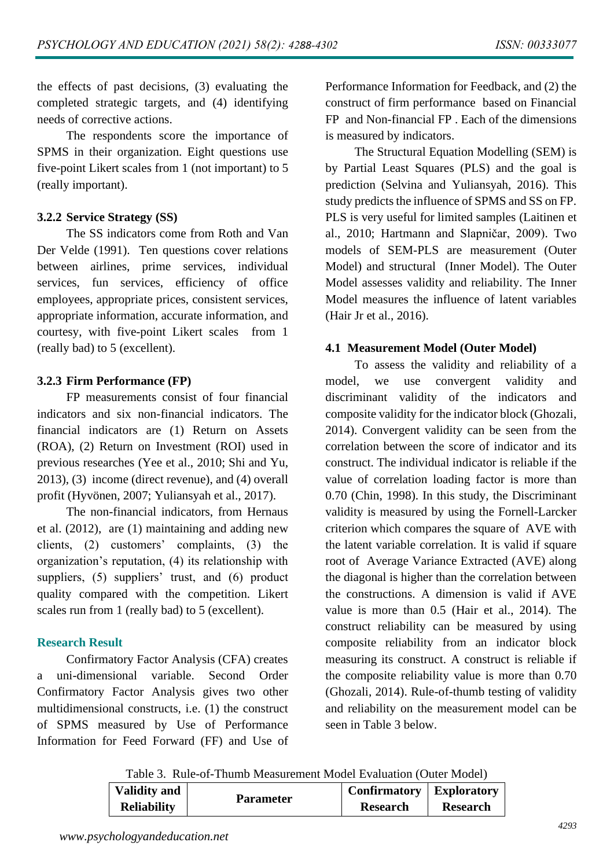the effects of past decisions, (3) evaluating the completed strategic targets, and (4) identifying needs of corrective actions.

The respondents score the importance of SPMS in their organization. Eight questions use five-point Likert scales from 1 (not important) to 5 (really important).

### **3.2.2 Service Strategy (SS)**

The SS indicators come from Roth and Van Der Velde (1991). Ten questions cover relations between airlines, prime services, individual services, fun services, efficiency of office employees, appropriate prices, consistent services, appropriate information, accurate information, and courtesy, with five-point Likert scales from 1 (really bad) to 5 (excellent).

### **3.2.3 Firm Performance (FP)**

FP measurements consist of four financial indicators and six non-financial indicators. The financial indicators are (1) Return on Assets (ROA), (2) Return on Investment (ROI) used in previous researches (Yee et al., 2010; Shi and Yu, 2013), (3) income (direct revenue), and (4) overall profit (Hyvönen, 2007; Yuliansyah et al., 2017).

The non-financial indicators, from Hernaus et al. (2012), are (1) maintaining and adding new clients, (2) customers' complaints, (3) the organization's reputation, (4) its relationship with suppliers, (5) suppliers' trust, and (6) product quality compared with the competition. Likert scales run from 1 (really bad) to 5 (excellent).

### **Research Result**

Confirmatory Factor Analysis (CFA) creates a uni-dimensional variable. Second Order Confirmatory Factor Analysis gives two other multidimensional constructs, i.e. (1) the construct of SPMS measured by Use of Performance Information for Feed Forward (FF) and Use of Performance Information for Feedback, and (2) the construct of firm performance based on Financial FP and Non-financial FP . Each of the dimensions is measured by indicators.

The Structural Equation Modelling (SEM) is by Partial Least Squares (PLS) and the goal is prediction (Selvina and Yuliansyah, 2016). This study predicts the influence of SPMS and SS on FP. PLS is very useful for limited samples (Laitinen et al., 2010; Hartmann and Slapničar, 2009). Two models of SEM-PLS are measurement (Outer Model) and structural (Inner Model). The Outer Model assesses validity and reliability. The Inner Model measures the influence of latent variables (Hair Jr et al., 2016).

### **4.1 Measurement Model (Outer Model)**

To assess the validity and reliability of a model, we use convergent validity and discriminant validity of the indicators and composite validity for the indicator block (Ghozali, 2014). Convergent validity can be seen from the correlation between the score of indicator and its construct. The individual indicator is reliable if the value of correlation loading factor is more than 0.70 (Chin, 1998). In this study, the Discriminant validity is measured by using the Fornell-Larcker criterion which compares the square of AVE with the latent variable correlation. It is valid if square root of Average Variance Extracted (AVE) along the diagonal is higher than the correlation between the constructions. A dimension is valid if AVE value is more than 0.5 (Hair et al., 2014). The construct reliability can be measured by using composite reliability from an indicator block measuring its construct. A construct is reliable if the composite reliability value is more than 0.70 (Ghozali, 2014). Rule-of-thumb testing of validity and reliability on the measurement model can be seen in Table 3 below.

Table 3. Rule-of-Thumb Measurement Model Evaluation (Outer Model)

| <b>Validity and</b> |                  | <b>Confirmatory</b>   <b>Exploratory</b> |                 |
|---------------------|------------------|------------------------------------------|-----------------|
| <b>Reliability</b>  | <b>Parameter</b> | <b>Research</b>                          | <b>Research</b> |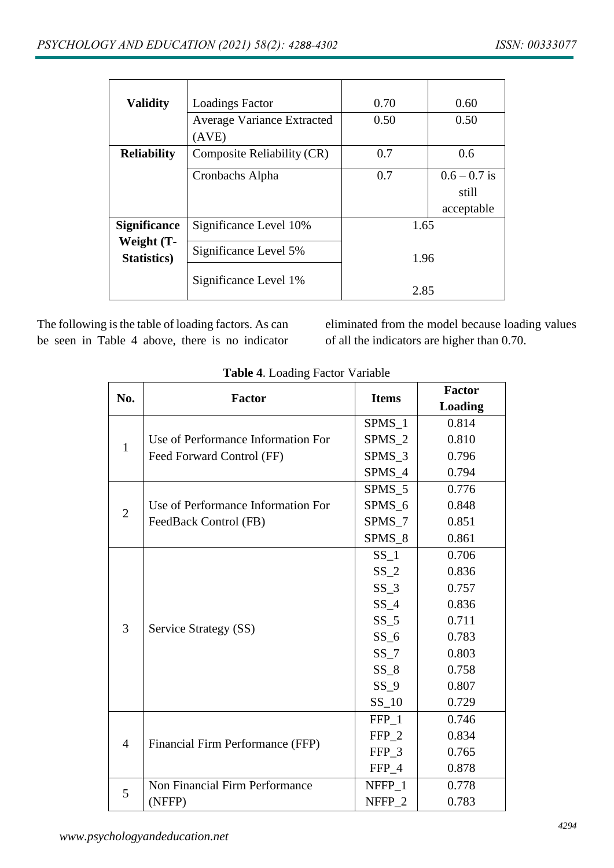| <b>Validity</b>           | <b>Loadings Factor</b>            | 0.70 | 0.60           |
|---------------------------|-----------------------------------|------|----------------|
|                           | <b>Average Variance Extracted</b> | 0.50 | 0.50           |
|                           | (AVE)                             |      |                |
| <b>Reliability</b>        | Composite Reliability (CR)        | 0.7  | 0.6            |
|                           | Cronbachs Alpha                   | 0.7  | $0.6 - 0.7$ is |
|                           |                                   |      | still          |
|                           |                                   |      | acceptable     |
| <b>Significance</b>       | Significance Level 10%            | 1.65 |                |
| Weight (T-<br>Statistics) | Significance Level 5%             | 1.96 |                |
|                           | Significance Level 1%             | 2.85 |                |

The following is the table of loading factors. As can be seen in Table 4 above, there is no indicator

eliminated from the model because loading values of all the indicators are higher than 0.70.

| No.            |                                    | <b>Items</b>      | <b>Factor</b>  |
|----------------|------------------------------------|-------------------|----------------|
|                | <b>Factor</b>                      |                   | <b>Loading</b> |
|                |                                    | $SPMS_1$          | 0.814          |
| $\mathbf{1}$   | Use of Performance Information For | SPMS <sub>2</sub> | 0.810          |
|                | Feed Forward Control (FF)          | $SPMS_3$          | 0.796          |
|                |                                    | SPMS 4            | 0.794          |
|                |                                    | SPMS 5            | 0.776          |
| $\overline{2}$ | Use of Performance Information For | SPMS 6            | 0.848          |
|                | FeedBack Control (FB)              | $SPMS_7$          | 0.851          |
|                |                                    | SPMS 8            | 0.861          |
|                |                                    | $SS_1$            | 0.706          |
|                |                                    | SS <sub>2</sub>   | 0.836          |
|                |                                    | $SS_3$            | 0.757          |
|                |                                    | $SS_4$            | 0.836          |
| 3              |                                    | $SS_5$            | 0.711          |
|                | Service Strategy (SS)              | $SS_6$            | 0.783          |
|                |                                    | $SS_7$            | 0.803          |
|                |                                    | $SS_8$            | 0.758          |
|                |                                    | SS <sub>9</sub>   | 0.807          |
|                |                                    | $SS_10$           | 0.729          |
|                |                                    | FFP 1             | 0.746          |
| $\overline{4}$ | Financial Firm Performance (FFP)   | FFP <sub>2</sub>  | 0.834          |
|                |                                    | FFP_3             | 0.765          |
|                |                                    | FFP 4             | 0.878          |
| 5              | Non Financial Firm Performance     | NFFP_1            | 0.778          |
|                | (NFFP)                             | NFFP <sub>2</sub> | 0.783          |

### **Table 4**. Loading Factor Variable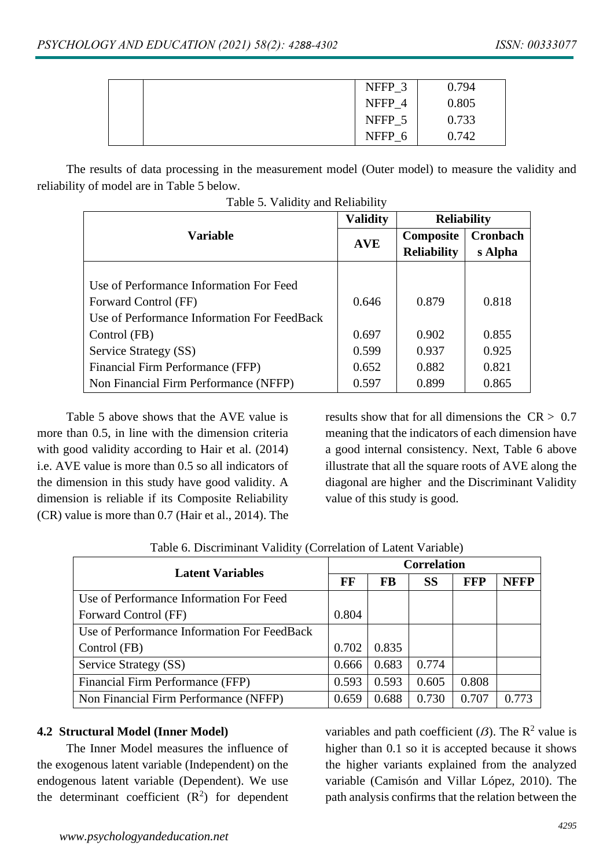|  | NFFP_3            | 0.794 |
|--|-------------------|-------|
|  | NFFP <sub>4</sub> | 0.805 |
|  | NFFP 5            | 0.733 |
|  | NFFP <sub>6</sub> | 0.742 |
|  |                   |       |

The results of data processing in the measurement model (Outer model) to measure the validity and reliability of model are in Table 5 below.

|                                             | <b>Validity</b> | <b>Reliability</b> |          |  |
|---------------------------------------------|-----------------|--------------------|----------|--|
| <b>Variable</b>                             | <b>AVE</b>      | Composite          | Cronbach |  |
|                                             |                 | <b>Reliability</b> | s Alpha  |  |
|                                             |                 |                    |          |  |
| Use of Performance Information For Feed     |                 |                    |          |  |
| Forward Control (FF)                        | 0.646           | 0.879              | 0.818    |  |
| Use of Performance Information For FeedBack |                 |                    |          |  |
| Control (FB)                                | 0.697           | 0.902              | 0.855    |  |
| Service Strategy (SS)                       | 0.599           | 0.937              | 0.925    |  |
| Financial Firm Performance (FFP)            | 0.652           | 0.882              | 0.821    |  |
| Non Financial Firm Performance (NFFP)       | 0.597           | 0.899              | 0.865    |  |

Table 5. Validity and Reliability

Table 5 above shows that the AVE value is more than 0.5, in line with the dimension criteria with good validity according to Hair et al. (2014) i.e. AVE value is more than 0.5 so all indicators of the dimension in this study have good validity. A dimension is reliable if its Composite Reliability (CR) value is more than 0.7 (Hair et al., 2014). The results show that for all dimensions the  $CR > 0.7$ meaning that the indicators of each dimension have a good internal consistency. Next, Table 6 above illustrate that all the square roots of AVE along the diagonal are higher and the Discriminant Validity value of this study is good.

| <b>Latent Variables</b>                     |       | <b>Correlation</b> |           |            |             |  |
|---------------------------------------------|-------|--------------------|-----------|------------|-------------|--|
|                                             | FF    | <b>FB</b>          | <b>SS</b> | <b>FFP</b> | <b>NFFP</b> |  |
| Use of Performance Information For Feed     |       |                    |           |            |             |  |
| Forward Control (FF)                        | 0.804 |                    |           |            |             |  |
| Use of Performance Information For FeedBack |       |                    |           |            |             |  |
| Control (FB)                                | 0.702 | 0.835              |           |            |             |  |
| Service Strategy (SS)                       | 0.666 | 0.683              | 0.774     |            |             |  |
| Financial Firm Performance (FFP)            | 0.593 | 0.593              | 0.605     | 0.808      |             |  |
| Non Financial Firm Performance (NFFP)       | 0.659 | 0.688              | 0.730     | 0.707      | በ 773       |  |

Table 6. Discriminant Validity (Correlation of Latent Variable)

#### **4.2 Structural Model (Inner Model)**

The Inner Model measures the influence of the exogenous latent variable (Independent) on the endogenous latent variable (Dependent). We use the determinant coefficient  $(R^2)$  for dependent variables and path coefficient  $(\beta)$ . The R<sup>2</sup> value is higher than 0.1 so it is accepted because it shows the higher variants explained from the analyzed variable (Camisón and Villar López, 2010). The path analysis confirms that the relation between the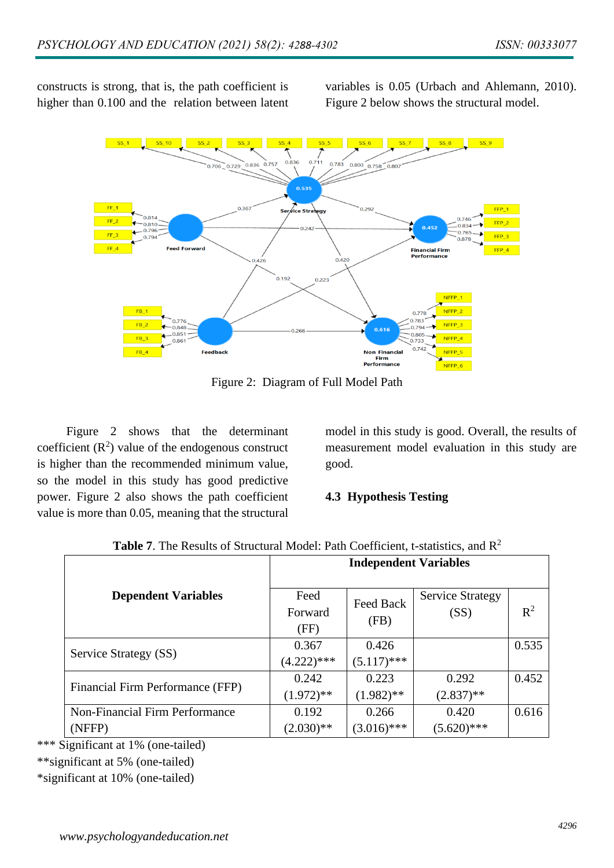constructs is strong, that is, the path coefficient is higher than 0.100 and the relation between latent

variables is 0.05 (Urbach and Ahlemann, 2010). Figure 2 below shows the structural model.



Figure 2: Diagram of Full Model Path

Figure 2 shows that the determinant coefficient  $(R^2)$  value of the endogenous construct is higher than the recommended minimum value, so the model in this study has good predictive power. Figure 2 also shows the path coefficient value is more than 0.05, meaning that the structural

model in this study is good. Overall, the results of measurement model evaluation in this study are good.

#### **4.3 Hypothesis Testing**

|                                  | <b>Independent Variables</b> |               |                         |       |  |  |
|----------------------------------|------------------------------|---------------|-------------------------|-------|--|--|
| <b>Dependent Variables</b>       | Feed                         | Feed Back     | <b>Service Strategy</b> |       |  |  |
|                                  | Forward                      |               | (SS)                    | $R^2$ |  |  |
|                                  | (FF)                         | (FB)          |                         |       |  |  |
| Service Strategy (SS)            | 0.367                        | 0.426         |                         | 0.535 |  |  |
|                                  | $(4.222)***$                 | $(5.117)$ *** |                         |       |  |  |
| Financial Firm Performance (FFP) | 0.242                        | 0.223         | 0.292                   | 0.452 |  |  |
|                                  | $(1.972)$ **                 | $(1.982)$ **  | $(2.837)$ **            |       |  |  |
| Non-Financial Firm Performance   | 0.192                        | 0.266         | 0.420                   | 0.616 |  |  |
| (NFFP)                           | $(2.030)**$                  | $(3.016)$ *** | $(5.620)$ ***           |       |  |  |

| <b>Table 7.</b> The Results of Structural Model: Path Coefficient, t-statistics, and $R^2$ |  |
|--------------------------------------------------------------------------------------------|--|
|--------------------------------------------------------------------------------------------|--|

\*\*\* Significant at 1% (one-tailed)

\*\*significant at 5% (one-tailed)

\*significant at 10% (one-tailed)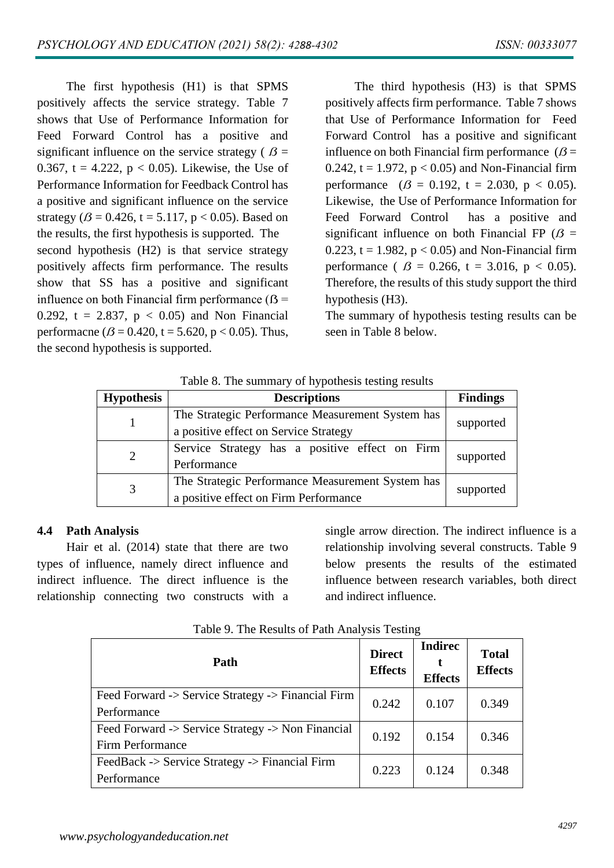The first hypothesis (H1) is that SPMS positively affects the service strategy. Table 7 shows that Use of Performance Information for Feed Forward Control has a positive and significant influence on the service strategy ( $\beta$  = 0.367, t = 4.222,  $p < 0.05$ ). Likewise, the Use of Performance Information for Feedback Control has a positive and significant influence on the service strategy ( $\beta$  = 0.426, t = 5.117, p < 0.05). Based on the results, the first hypothesis is supported. The second hypothesis (H2) is that service strategy positively affects firm performance. The results show that SS has a positive and significant influence on both Financial firm performance  $( $\beta$  =$ 0.292, t = 2.837,  $p < 0.05$ ) and Non Financial performacne ( $\beta$  = 0.420, t = 5.620, p < 0.05). Thus, the second hypothesis is supported.

The third hypothesis (H3) is that SPMS positively affects firm performance. Table 7 shows that Use of Performance Information for Feed Forward Control has a positive and significant influence on both Financial firm performance  $(\beta =$ 0.242,  $t = 1.972$ ,  $p < 0.05$ ) and Non-Financial firm performance  $(\beta = 0.192, t = 2.030, p < 0.05)$ . Likewise, the Use of Performance Information for Feed Forward Control has a positive and significant influence on both Financial FP  $(\beta =$ 0.223,  $t = 1.982$ ,  $p < 0.05$ ) and Non-Financial firm performance ( $\beta = 0.266$ , t = 3.016, p < 0.05). Therefore, the results of this study support the third hypothesis (H3).

The summary of hypothesis testing results can be seen in Table 8 below.

| Table 8. The summary of hypothesis testing results |  |  |
|----------------------------------------------------|--|--|
|----------------------------------------------------|--|--|

| <b>Hypothesis</b> | <b>Descriptions</b>                              | <b>Findings</b> |  |
|-------------------|--------------------------------------------------|-----------------|--|
|                   | The Strategic Performance Measurement System has |                 |  |
|                   | a positive effect on Service Strategy            | supported       |  |
| 2                 | Service Strategy has a positive effect on Firm   | supported       |  |
|                   | Performance                                      |                 |  |
| 3                 | The Strategic Performance Measurement System has |                 |  |
|                   | a positive effect on Firm Performance            | supported       |  |

#### **4.4 Path Analysis**

Hair et al. (2014) state that there are two types of influence, namely direct influence and indirect influence. The direct influence is the relationship connecting two constructs with a single arrow direction. The indirect influence is a relationship involving several constructs. Table 9 below presents the results of the estimated influence between research variables, both direct and indirect influence.

| Path                                                                  | <b>Direct</b><br><b>Effects</b> | <b>Indirec</b><br><b>Effects</b> | <b>Total</b><br><b>Effects</b> |
|-----------------------------------------------------------------------|---------------------------------|----------------------------------|--------------------------------|
| Feed Forward -> Service Strategy -> Financial Firm<br>Performance     | 0.242                           | 0.107                            | 0.349                          |
| Feed Forward -> Service Strategy -> Non Financial<br>Firm Performance | 0.192                           | 0.154                            | 0.346                          |
| FeedBack -> Service Strategy -> Financial Firm<br>Performance         | 0.223                           | 0.124                            | 0.348                          |

Table 9. The Results of Path Analysis Testing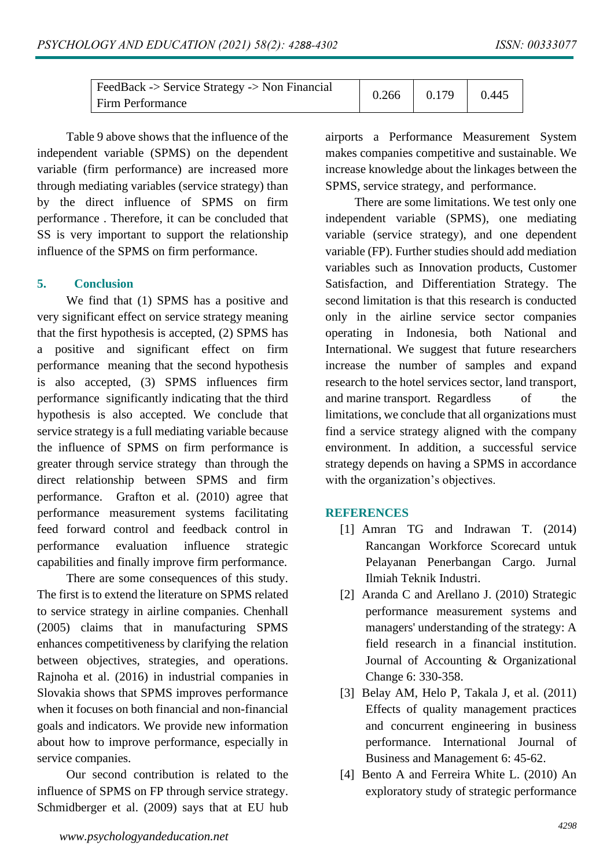| $\vert$ FeedBack -> Service Strategy -> Non Financial | 0.266 | 0.179 | 0.445 |
|-------------------------------------------------------|-------|-------|-------|
| <b>Firm Performance</b>                               |       |       |       |

Table 9 above shows that the influence of the independent variable (SPMS) on the dependent variable (firm performance) are increased more through mediating variables (service strategy) than by the direct influence of SPMS on firm performance . Therefore, it can be concluded that SS is very important to support the relationship influence of the SPMS on firm performance.

#### **5. Conclusion**

We find that (1) SPMS has a positive and very significant effect on service strategy meaning that the first hypothesis is accepted, (2) SPMS has a positive and significant effect on firm performance meaning that the second hypothesis is also accepted, (3) SPMS influences firm performance significantly indicating that the third hypothesis is also accepted. We conclude that service strategy is a full mediating variable because the influence of SPMS on firm performance is greater through service strategy than through the direct relationship between SPMS and firm performance. Grafton et al. (2010) agree that performance measurement systems facilitating feed forward control and feedback control in performance evaluation influence strategic capabilities and finally improve firm performance.

There are some consequences of this study. The first is to extend the literature on SPMS related to service strategy in airline companies. Chenhall (2005) claims that in manufacturing SPMS enhances competitiveness by clarifying the relation between objectives, strategies, and operations. Rajnoha et al. (2016) in industrial companies in Slovakia shows that SPMS improves performance when it focuses on both financial and non-financial goals and indicators. We provide new information about how to improve performance, especially in service companies.

Our second contribution is related to the influence of SPMS on FP through service strategy. Schmidberger et al. (2009) says that at EU hub

|  | airports a Performance Measurement System         |  |
|--|---------------------------------------------------|--|
|  | makes companies competitive and sustainable. We   |  |
|  | increase knowledge about the linkages between the |  |
|  | SPMS, service strategy, and performance.          |  |

There are some limitations. We test only one independent variable (SPMS), one mediating variable (service strategy), and one dependent variable (FP). Further studies should add mediation variables such as Innovation products, Customer Satisfaction, and Differentiation Strategy. The second limitation is that this research is conducted only in the airline service sector companies operating in Indonesia, both National and International. We suggest that future researchers increase the number of samples and expand research to the hotel services sector, land transport, and marine transport. Regardless of the limitations, we conclude that all organizations must find a service strategy aligned with the company environment. In addition, a successful service strategy depends on having a SPMS in accordance with the organization's objectives.

#### **REFERENCES**

- [1] Amran TG and Indrawan T. (2014) Rancangan Workforce Scorecard untuk Pelayanan Penerbangan Cargo. Jurnal Ilmiah Teknik Industri.
- [2] Aranda C and Arellano J. (2010) Strategic performance measurement systems and managers' understanding of the strategy: A field research in a financial institution. Journal of Accounting & Organizational Change 6: 330-358.
- [3] Belay AM, Helo P, Takala J, et al.  $(2011)$ Effects of quality management practices and concurrent engineering in business performance. International Journal of Business and Management 6: 45-62.
- [4] Bento A and Ferreira White L. (2010) An exploratory study of strategic performance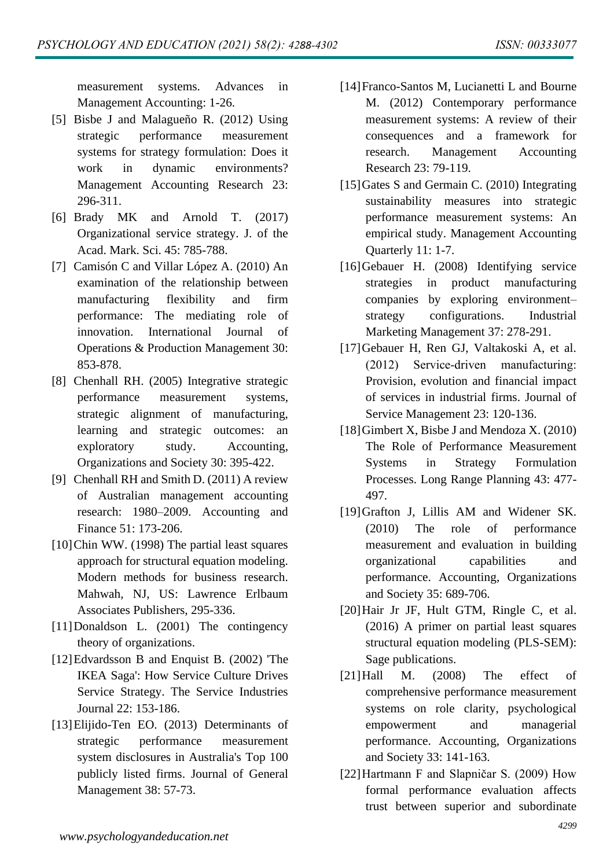measurement systems. Advances in Management Accounting: 1-26.

- [5] Bisbe J and Malagueño R. (2012) Using strategic performance measurement systems for strategy formulation: Does it work in dynamic environments? Management Accounting Research 23: 296-311.
- [6] Brady MK and Arnold T. (2017) Organizational service strategy. J. of the Acad. Mark. Sci. 45: 785-788.
- [7] Camisón C and Villar López A. (2010) An examination of the relationship between manufacturing flexibility and firm performance: The mediating role of innovation. International Journal of Operations & Production Management 30: 853-878.
- [8] Chenhall RH. (2005) Integrative strategic performance measurement systems, strategic alignment of manufacturing, learning and strategic outcomes: an exploratory study. Accounting, Organizations and Society 30: 395-422.
- [9] Chenhall RH and Smith D. (2011) A review of Australian management accounting research: 1980–2009. Accounting and Finance 51: 173-206.
- [10]Chin WW. (1998) The partial least squares approach for structural equation modeling. Modern methods for business research. Mahwah, NJ, US: Lawrence Erlbaum Associates Publishers, 295-336.
- [11]Donaldson L. (2001) The contingency theory of organizations.
- [12]Edvardsson B and Enquist B. (2002) 'The IKEA Saga': How Service Culture Drives Service Strategy. The Service Industries Journal 22: 153-186.
- [13]Elijido-Ten EO. (2013) Determinants of strategic performance measurement system disclosures in Australia's Top 100 publicly listed firms. Journal of General Management 38: 57-73.
- [14]Franco-Santos M, Lucianetti L and Bourne M. (2012) Contemporary performance measurement systems: A review of their consequences and a framework for research. Management Accounting Research 23: 79-119.
- [15] Gates S and Germain C. (2010) Integrating sustainability measures into strategic performance measurement systems: An empirical study. Management Accounting Quarterly 11: 1-7.
- [16]Gebauer H. (2008) Identifying service strategies in product manufacturing companies by exploring environment– strategy configurations. Industrial Marketing Management 37: 278-291.
- [17]Gebauer H, Ren GJ, Valtakoski A, et al. (2012) Service‐driven manufacturing: Provision, evolution and financial impact of services in industrial firms. Journal of Service Management 23: 120-136.
- [18] Gimbert X, Bisbe J and Mendoza X. (2010) The Role of Performance Measurement Systems in Strategy Formulation Processes. Long Range Planning 43: 477- 497.
- [19]Grafton J, Lillis AM and Widener SK. (2010) The role of performance measurement and evaluation in building organizational capabilities and performance. Accounting, Organizations and Society 35: 689-706.
- [20]Hair Jr JF, Hult GTM, Ringle C, et al. (2016) A primer on partial least squares structural equation modeling (PLS-SEM): Sage publications.
- [21]Hall M. (2008) The effect of comprehensive performance measurement systems on role clarity, psychological empowerment and managerial performance. Accounting, Organizations and Society 33: 141-163.
- [22]Hartmann F and Slapničar S. (2009) How formal performance evaluation affects trust between superior and subordinate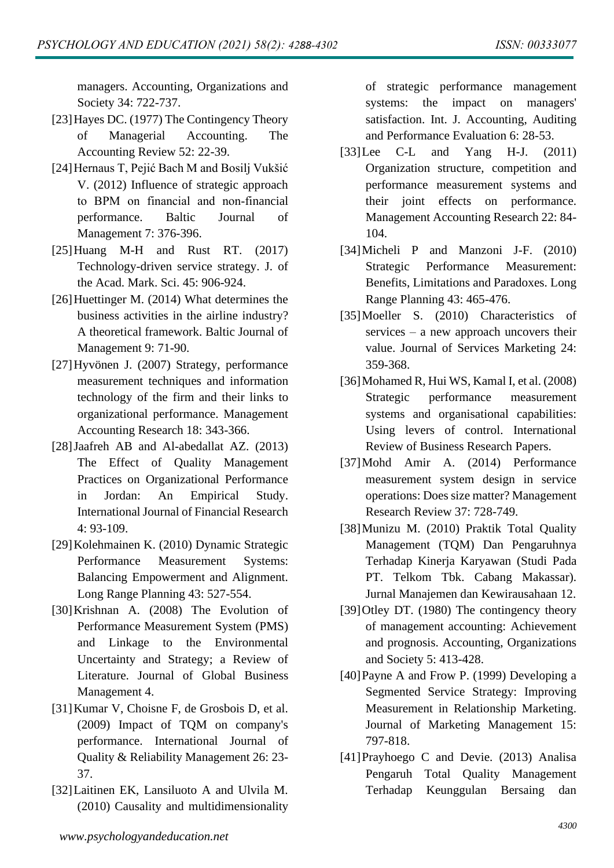managers. Accounting, Organizations and Society 34: 722-737.

- [23]Hayes DC. (1977) The Contingency Theory of Managerial Accounting. The Accounting Review 52: 22-39.
- [24]Hernaus T, Pejić Bach M and Bosilj Vukšić V. (2012) Influence of strategic approach to BPM on financial and non‐financial performance. Baltic Journal of Management 7: 376-396.
- [25]Huang M-H and Rust RT. (2017) Technology-driven service strategy. J. of the Acad. Mark. Sci. 45: 906-924.
- [26] Huettinger M. (2014) What determines the business activities in the airline industry? A theoretical framework. Baltic Journal of Management 9: 71-90.
- [27]Hyvönen J. (2007) Strategy, performance measurement techniques and information technology of the firm and their links to organizational performance. Management Accounting Research 18: 343-366.
- [28]Jaafreh AB and Al-abedallat AZ. (2013) The Effect of Quality Management Practices on Organizational Performance in Jordan: An Empirical Study. International Journal of Financial Research 4: 93-109.
- [29]Kolehmainen K. (2010) Dynamic Strategic Performance Measurement Systems: Balancing Empowerment and Alignment. Long Range Planning 43: 527-554.
- [30]Krishnan A. (2008) The Evolution of Performance Measurement System (PMS) and Linkage to the Environmental Uncertainty and Strategy; a Review of Literature. Journal of Global Business Management 4.
- [31]Kumar V, Choisne F, de Grosbois D, et al. (2009) Impact of TQM on company's performance. International Journal of Quality & Reliability Management 26: 23- 37.
- [32]Laitinen EK, Lansiluoto A and Ulvila M. (2010) Causality and multidimensionality

of strategic performance management systems: the impact on managers' satisfaction. Int. J. Accounting, Auditing and Performance Evaluation 6: 28-53.

- [33]Lee C-L and Yang H-J. (2011) Organization structure, competition and performance measurement systems and their joint effects on performance. Management Accounting Research 22: 84- 104.
- [34]Micheli P and Manzoni J-F. (2010) Strategic Performance Measurement: Benefits, Limitations and Paradoxes. Long Range Planning 43: 465-476.
- [35] Moeller S. (2010) Characteristics of services – a new approach uncovers their value. Journal of Services Marketing 24: 359-368.
- [36]Mohamed R, Hui WS, Kamal I, et al. (2008) Strategic performance measurement systems and organisational capabilities: Using levers of control. International Review of Business Research Papers.
- [37]Mohd Amir A. (2014) Performance measurement system design in service operations: Does size matter? Management Research Review 37: 728-749.
- [38]Munizu M. (2010) Praktik Total Quality Management (TQM) Dan Pengaruhnya Terhadap Kinerja Karyawan (Studi Pada PT. Telkom Tbk. Cabang Makassar). Jurnal Manajemen dan Kewirausahaan 12.
- [39]Otley DT. (1980) The contingency theory of management accounting: Achievement and prognosis. Accounting, Organizations and Society 5: 413-428.
- [40]Payne A and Frow P. (1999) Developing a Segmented Service Strategy: Improving Measurement in Relationship Marketing. Journal of Marketing Management 15: 797-818.
- [41]Prayhoego C and Devie. (2013) Analisa Pengaruh Total Quality Management Terhadap Keunggulan Bersaing dan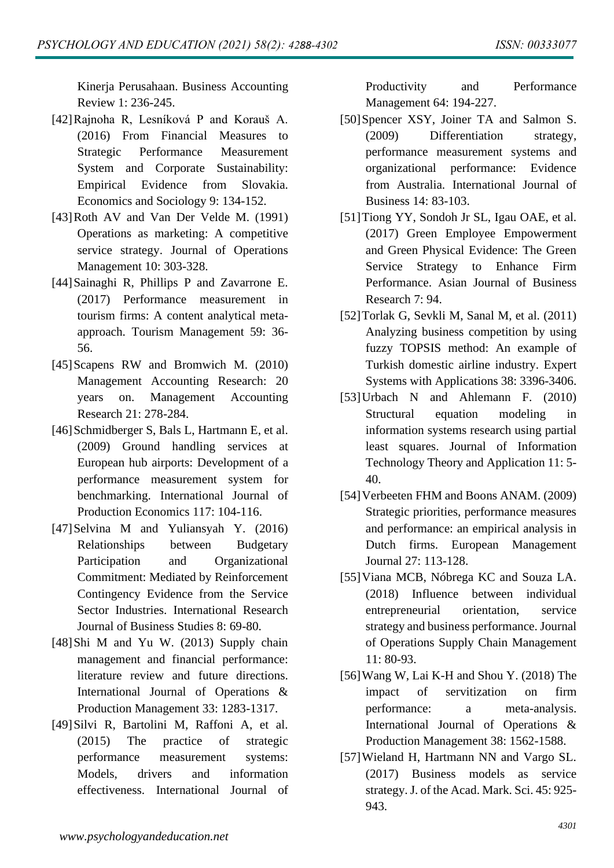Kinerja Perusahaan. Business Accounting Review 1: 236-245.

- [42]Rajnoha R, Lesníková P and Korauš A. (2016) From Financial Measures to Strategic Performance Measurement System and Corporate Sustainability: Empirical Evidence from Slovakia. Economics and Sociology 9: 134-152.
- [43]Roth AV and Van Der Velde M. (1991) Operations as marketing: A competitive service strategy. Journal of Operations Management 10: 303-328.
- [44]Sainaghi R, Phillips P and Zavarrone E. (2017) Performance measurement in tourism firms: A content analytical metaapproach. Tourism Management 59: 36- 56.
- [45]Scapens RW and Bromwich M. (2010) Management Accounting Research: 20 years on. Management Accounting Research 21: 278-284.
- [46] Schmidberger S, Bals L, Hartmann E, et al. (2009) Ground handling services at European hub airports: Development of a performance measurement system for benchmarking. International Journal of Production Economics 117: 104-116.
- [47]Selvina M and Yuliansyah Y. (2016) Relationships between Budgetary Participation and Organizational Commitment: Mediated by Reinforcement Contingency Evidence from the Service Sector Industries. International Research Journal of Business Studies 8: 69-80.
- [48]Shi M and Yu W. (2013) Supply chain management and financial performance: literature review and future directions. International Journal of Operations & Production Management 33: 1283-1317.
- [49]Silvi R, Bartolini M, Raffoni A, et al. (2015) The practice of strategic performance measurement systems: Models, drivers and information effectiveness. International Journal of

Productivity and Performance Management 64: 194-227.

- [50]Spencer XSY, Joiner TA and Salmon S. (2009) Differentiation strategy, performance measurement systems and organizational performance: Evidence from Australia. International Journal of Business 14: 83-103.
- [51]Tiong YY, Sondoh Jr SL, Igau OAE, et al. (2017) Green Employee Empowerment and Green Physical Evidence: The Green Service Strategy to Enhance Firm Performance. Asian Journal of Business Research 7: 94.
- [52]Torlak G, Sevkli M, Sanal M, et al. (2011) Analyzing business competition by using fuzzy TOPSIS method: An example of Turkish domestic airline industry. Expert Systems with Applications 38: 3396-3406.
- [53]Urbach N and Ahlemann F. (2010) Structural equation modeling in information systems research using partial least squares. Journal of Information Technology Theory and Application 11: 5- 40.
- [54]Verbeeten FHM and Boons ANAM. (2009) Strategic priorities, performance measures and performance: an empirical analysis in Dutch firms. European Management Journal 27: 113-128.
- [55]Viana MCB, Nóbrega KC and Souza LA. (2018) Influence between individual entrepreneurial orientation, service strategy and business performance. Journal of Operations Supply Chain Management 11: 80-93.
- [56]Wang W, Lai K-H and Shou Y. (2018) The impact of servitization on firm performance: a meta-analysis. International Journal of Operations & Production Management 38: 1562-1588.
- [57]Wieland H, Hartmann NN and Vargo SL. (2017) Business models as service strategy. J. of the Acad. Mark. Sci. 45: 925- 943.